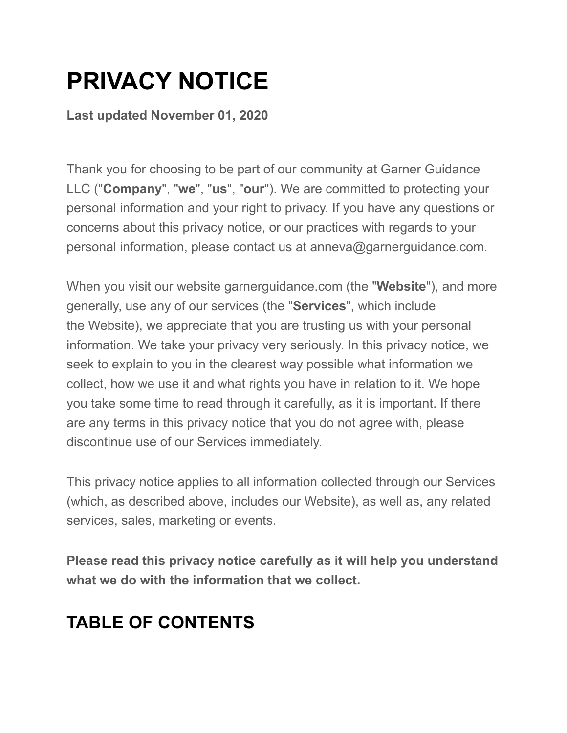# **PRIVACY NOTICE**

**Last updated November 01, 2020**

Thank you for choosing to be part of our community at Garner Guidance LLC ("**Company**", "**we**", "**us**", "**our**"). We are committed to protecting your personal information and your right to privacy. If you have any questions or concerns about this privacy notice, or our practices with regards to your personal information, please contact us at anneva@garnerguidance.com.

When you visit our website garnerguidance.com (the "**Website**"), and more generally, use any of our services (the "**Services**", which include the Website), we appreciate that you are trusting us with your personal information. We take your privacy very seriously. In this privacy notice, we seek to explain to you in the clearest way possible what information we collect, how we use it and what rights you have in relation to it. We hope you take some time to read through it carefully, as it is important. If there are any terms in this privacy notice that you do not agree with, please discontinue use of our Services immediately.

This privacy notice applies to all information collected through our Services (which, as described above, includes our Website), as well as, any related services, sales, marketing or events.

**Please read this privacy notice carefully as it will help you understand what we do with the information that we collect.**

# **TABLE OF CONTENTS**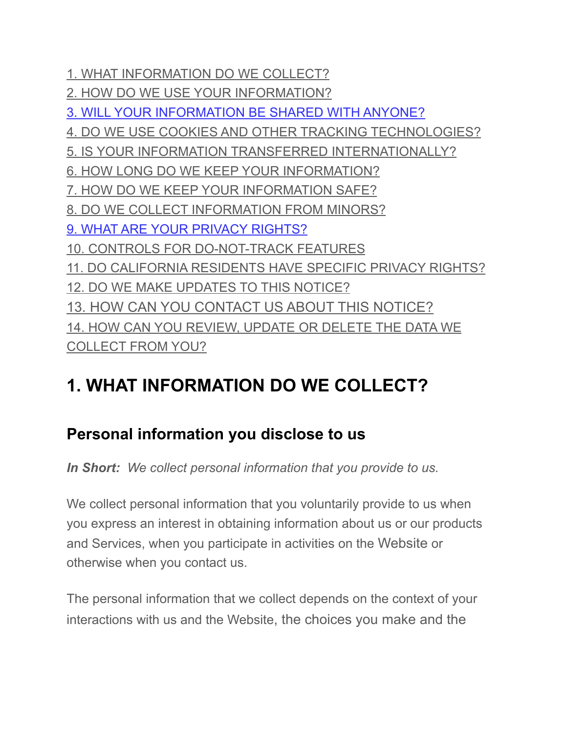[1. WHAT INFORMATION DO WE COLLECT?](https://app.termly.io/dashboard/website/633108/privacy-policy#infocollect) [2. HOW DO WE USE YOUR INFORMATION?](https://app.termly.io/dashboard/website/633108/privacy-policy#infouse) [3. WILL YOUR INFORMATION BE SHARED WITH ANYONE?](https://app.termly.io/dashboard/website/633108/privacy-policy#infoshare) [4. DO WE USE COOKIES AND OTHER TRACKING TECHNOLOGIES?](https://app.termly.io/dashboard/website/633108/privacy-policy#cookies) [5. IS YOUR INFORMATION TRANSFERRED INTERNATIONALLY?](https://app.termly.io/dashboard/website/633108/privacy-policy#intltransfers) [6. HOW LONG DO WE KEEP YOUR INFORMATION?](https://app.termly.io/dashboard/website/633108/privacy-policy#inforetain) [7. HOW DO WE KEEP YOUR INFORMATION SAFE?](https://app.termly.io/dashboard/website/633108/privacy-policy#infosafe) [8. DO WE COLLECT INFORMATION FROM MINORS?](https://app.termly.io/dashboard/website/633108/privacy-policy#infominors) [9. WHAT ARE YOUR PRIVACY RIGHTS?](https://app.termly.io/dashboard/website/633108/privacy-policy#privacyrights) [10. CONTROLS FOR DO-NOT-TRACK FEATURES](https://app.termly.io/dashboard/website/633108/privacy-policy#DNT) [11. DO CALIFORNIA RESIDENTS HAVE SPECIFIC PRIVACY RIGHTS?](https://app.termly.io/dashboard/website/633108/privacy-policy#caresidents) [12. DO WE MAKE UPDATES TO THIS NOTICE?](https://app.termly.io/dashboard/website/633108/privacy-policy#policyupdates) [13. HOW CAN YOU CONTACT US ABOUT THIS NOTICE?](https://app.termly.io/dashboard/website/633108/privacy-policy#contact) [14. HOW CAN YOU REVIEW, UPDATE OR DELETE THE DATA WE](https://app.termly.io/dashboard/website/633108/privacy-policy#request)  [COLLECT FROM YOU?](https://app.termly.io/dashboard/website/633108/privacy-policy#request)

#### **1. WHAT INFORMATION DO WE COLLECT?**

#### **Personal information you disclose to us**

*In Short: We collect personal information that you provide to us.*

We collect personal information that you voluntarily provide to us when you express an interest in obtaining information about us or our products and Services, when you participate in activities on the Website or otherwise when you contact us.

The personal information that we collect depends on the context of your interactions with us and the Website, the choices you make and the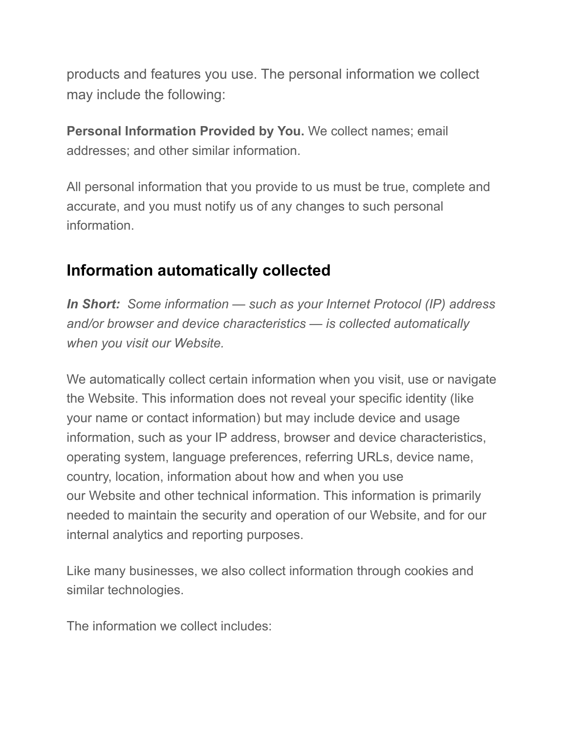products and features you use. The personal information we collect may include the following:

**Personal Information Provided by You.** We collect names; email addresses; and other similar information.

All personal information that you provide to us must be true, complete and accurate, and you must notify us of any changes to such personal information.

#### **Information automatically collected**

*In Short: Some information — such as your Internet Protocol (IP) address and/or browser and device characteristics — is collected automatically when you visit our Website.*

We automatically collect certain information when you visit, use or navigate the Website. This information does not reveal your specific identity (like your name or contact information) but may include device and usage information, such as your IP address, browser and device characteristics, operating system, language preferences, referring URLs, device name, country, location, information about how and when you use our Website and other technical information. This information is primarily needed to maintain the security and operation of our Website, and for our internal analytics and reporting purposes.

Like many businesses, we also collect information through cookies and similar technologies.

The information we collect includes: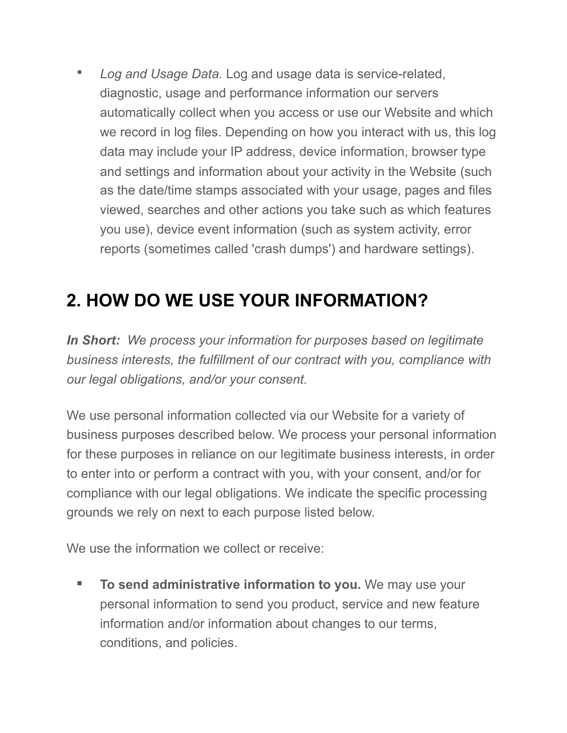*▪ Log and Usage Data.* Log and usage data is service-related, diagnostic, usage and performance information our servers automatically collect when you access or use our Website and which we record in log files. Depending on how you interact with us, this log data may include your IP address, device information, browser type and settings and information about your activity in the Website (such as the date/time stamps associated with your usage, pages and files viewed, searches and other actions you take such as which features you use), device event information (such as system activity, error reports (sometimes called 'crash dumps') and hardware settings).

## **2. HOW DO WE USE YOUR INFORMATION?**

*In Short: We process your information for purposes based on legitimate business interests, the fulfillment of our contract with you, compliance with our legal obligations, and/or your consent.*

We use personal information collected via our Website for a variety of business purposes described below. We process your personal information for these purposes in reliance on our legitimate business interests, in order to enter into or perform a contract with you, with your consent, and/or for compliance with our legal obligations. We indicate the specific processing grounds we rely on next to each purpose listed below.

We use the information we collect or receive:

**▪ To send administrative information to you.** We may use your personal information to send you product, service and new feature information and/or information about changes to our terms, conditions, and policies.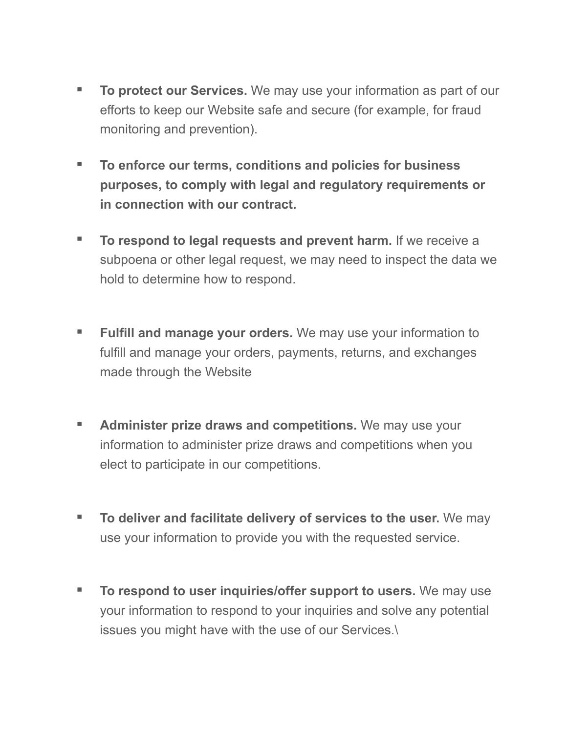- **▪ To protect our Services.** We may use your information as part of our efforts to keep our Website safe and secure (for example, for fraud monitoring and prevention).
- **▪ To enforce our terms, conditions and policies for business purposes, to comply with legal and regulatory requirements or in connection with our contract.**
- **▪ To respond to legal requests and prevent harm.** If we receive a subpoena or other legal request, we may need to inspect the data we hold to determine how to respond.
- **▪ Fulfill and manage your orders.** We may use your information to fulfill and manage your orders, payments, returns, and exchanges made through the Website
- **▪ Administer prize draws and competitions.** We may use your information to administer prize draws and competitions when you elect to participate in our competitions.
- **▪ To deliver and facilitate delivery of services to the user.** We may use your information to provide you with the requested service.
- **▪ To respond to user inquiries/offer support to users.** We may use your information to respond to your inquiries and solve any potential issues you might have with the use of our Services.\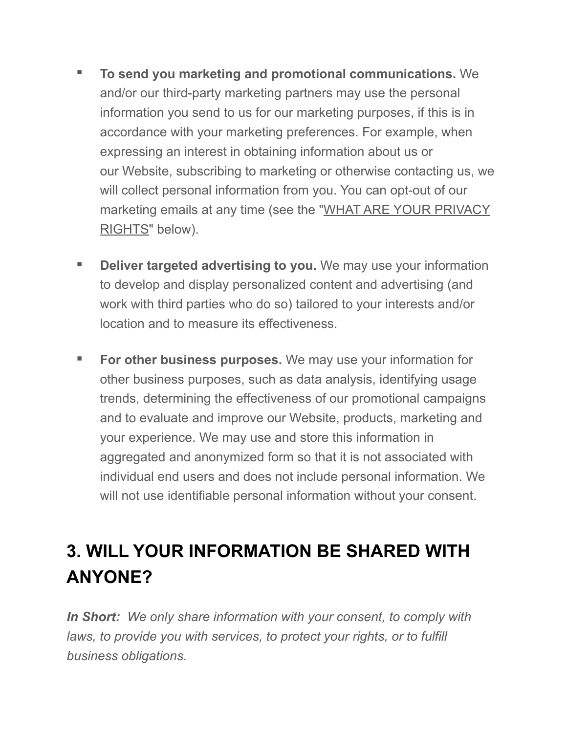- **▪ To send you marketing and promotional communications.** We and/or our third-party marketing partners may use the personal information you send to us for our marketing purposes, if this is in accordance with your marketing preferences. For example, when expressing an interest in obtaining information about us or our Website, subscribing to marketing or otherwise contacting us, we will collect personal information from you. You can opt-out of our marketing emails at any time (see the "[WHAT ARE YOUR PRIVACY](https://app.termly.io/dashboard/website/633108/privacy-policy#privacyrights)  [RIGHTS"](https://app.termly.io/dashboard/website/633108/privacy-policy#privacyrights) below).
- **Deliver targeted advertising to you.** We may use your information to develop and display personalized content and advertising (and work with third parties who do so) tailored to your interests and/or location and to measure its effectiveness.
- **▪ For other business purposes.** We may use your information for other business purposes, such as data analysis, identifying usage trends, determining the effectiveness of our promotional campaigns and to evaluate and improve our Website, products, marketing and your experience. We may use and store this information in aggregated and anonymized form so that it is not associated with individual end users and does not include personal information. We will not use identifiable personal information without your consent.

## **3. WILL YOUR INFORMATION BE SHARED WITH ANYONE?**

*In Short: We only share information with your consent, to comply with laws, to provide you with services, to protect your rights, or to fulfill business obligations.*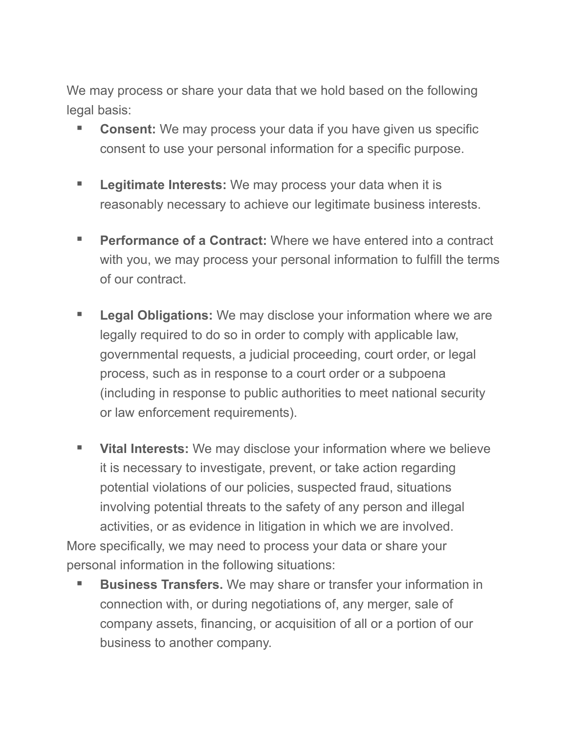We may process or share your data that we hold based on the following legal basis:

- **▪ Consent:** We may process your data if you have given us specific consent to use your personal information for a specific purpose.
- **▪ Legitimate Interests:** We may process your data when it is reasonably necessary to achieve our legitimate business interests.
- **Performance of a Contract:** Where we have entered into a contract with you, we may process your personal information to fulfill the terms of our contract.
- **▪ Legal Obligations:** We may disclose your information where we are legally required to do so in order to comply with applicable law, governmental requests, a judicial proceeding, court order, or legal process, such as in response to a court order or a subpoena (including in response to public authorities to meet national security or law enforcement requirements).
- **▪ Vital Interests:** We may disclose your information where we believe it is necessary to investigate, prevent, or take action regarding potential violations of our policies, suspected fraud, situations involving potential threats to the safety of any person and illegal activities, or as evidence in litigation in which we are involved.

More specifically, we may need to process your data or share your personal information in the following situations:

■ **Business Transfers.** We may share or transfer your information in connection with, or during negotiations of, any merger, sale of company assets, financing, or acquisition of all or a portion of our business to another company.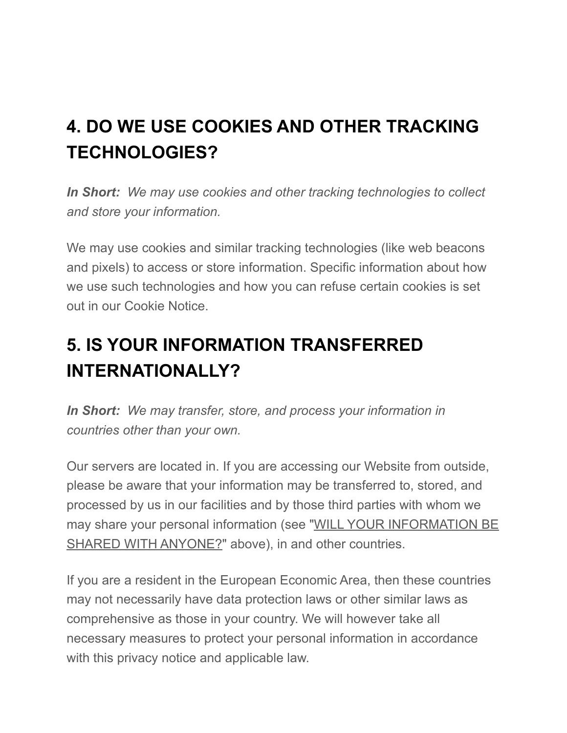# **4. DO WE USE COOKIES AND OTHER TRACKING TECHNOLOGIES?**

*In Short: We may use cookies and other tracking technologies to collect and store your information.*

We may use cookies and similar tracking technologies (like web beacons and pixels) to access or store information. Specific information about how we use such technologies and how you can refuse certain cookies is set out in our Cookie Notice.

# **5. IS YOUR INFORMATION TRANSFERRED INTERNATIONALLY?**

*In Short: We may transfer, store, and process your information in countries other than your own.*

Our servers are located in. If you are accessing our Website from outside, please be aware that your information may be transferred to, stored, and processed by us in our facilities and by those third parties with whom we may share your personal information (see ["WILL YOUR INFORMATION BE](https://app.termly.io/dashboard/website/633108/privacy-policy#infoshare)  [SHARED WITH ANYONE?](https://app.termly.io/dashboard/website/633108/privacy-policy#infoshare)" above), in and other countries.

If you are a resident in the European Economic Area, then these countries may not necessarily have data protection laws or other similar laws as comprehensive as those in your country. We will however take all necessary measures to protect your personal information in accordance with this privacy notice and applicable law.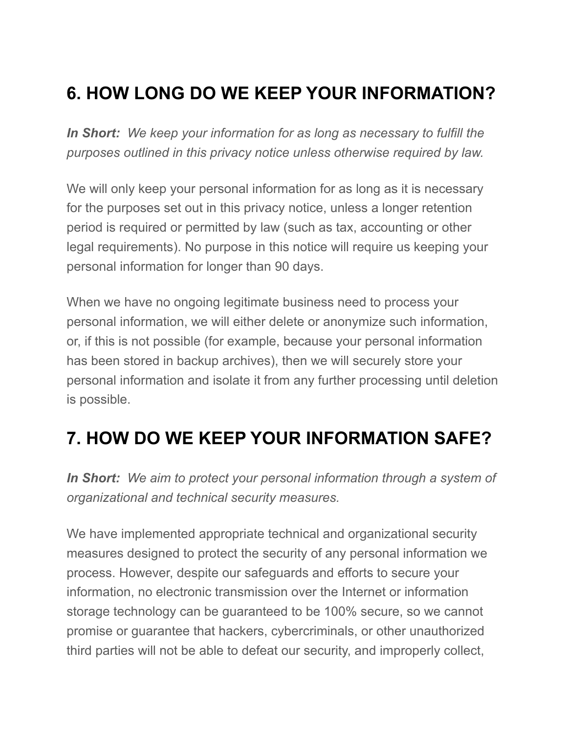## **6. HOW LONG DO WE KEEP YOUR INFORMATION?**

*In Short: We keep your information for as long as necessary to fulfill the purposes outlined in this privacy notice unless otherwise required by law.*

We will only keep your personal information for as long as it is necessary for the purposes set out in this privacy notice, unless a longer retention period is required or permitted by law (such as tax, accounting or other legal requirements). No purpose in this notice will require us keeping your personal information for longer than 90 days.

When we have no ongoing legitimate business need to process your personal information, we will either delete or anonymize such information, or, if this is not possible (for example, because your personal information has been stored in backup archives), then we will securely store your personal information and isolate it from any further processing until deletion is possible.

## **7. HOW DO WE KEEP YOUR INFORMATION SAFE?**

*In Short: We aim to protect your personal information through a system of organizational and technical security measures.*

We have implemented appropriate technical and organizational security measures designed to protect the security of any personal information we process. However, despite our safeguards and efforts to secure your information, no electronic transmission over the Internet or information storage technology can be guaranteed to be 100% secure, so we cannot promise or guarantee that hackers, cybercriminals, or other unauthorized third parties will not be able to defeat our security, and improperly collect,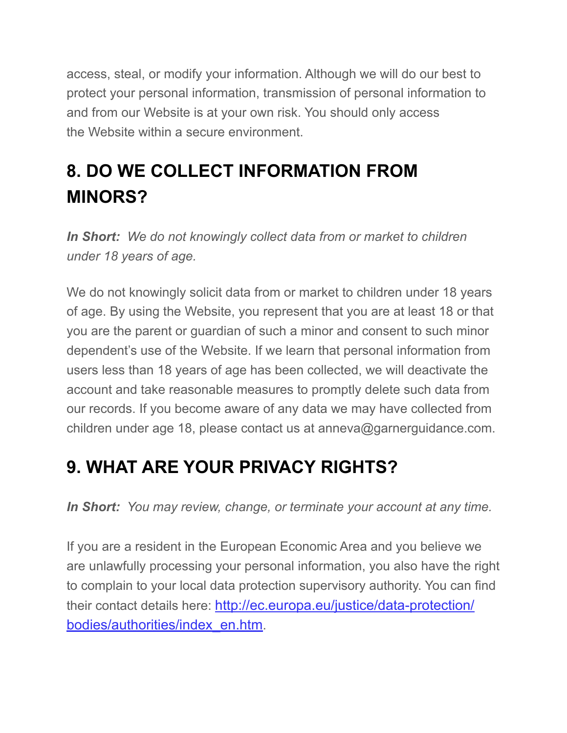access, steal, or modify your information. Although we will do our best to protect your personal information, transmission of personal information to and from our Website is at your own risk. You should only access the Website within a secure environment.

# **8. DO WE COLLECT INFORMATION FROM MINORS?**

*In Short: We do not knowingly collect data from or market to children under 18 years of age.*

We do not knowingly solicit data from or market to children under 18 years of age. By using the Website, you represent that you are at least 18 or that you are the parent or guardian of such a minor and consent to such minor dependent's use of the Website. If we learn that personal information from users less than 18 years of age has been collected, we will deactivate the account and take reasonable measures to promptly delete such data from our records. If you become aware of any data we may have collected from children under age 18, please contact us at anneva@garnerguidance.com.

## **9. WHAT ARE YOUR PRIVACY RIGHTS?**

*In Short: You may review, change, or terminate your account at any time.*

If you are a resident in the European Economic Area and you believe we are unlawfully processing your personal information, you also have the right to complain to your local data protection supervisory authority. You can find their contact details here: [http://ec.europa.eu/justice/data-protection/](http://ec.europa.eu/justice/data-protection/bodies/authorities/index_en.htm) [bodies/authorities/index\\_en.htm.](http://ec.europa.eu/justice/data-protection/bodies/authorities/index_en.htm)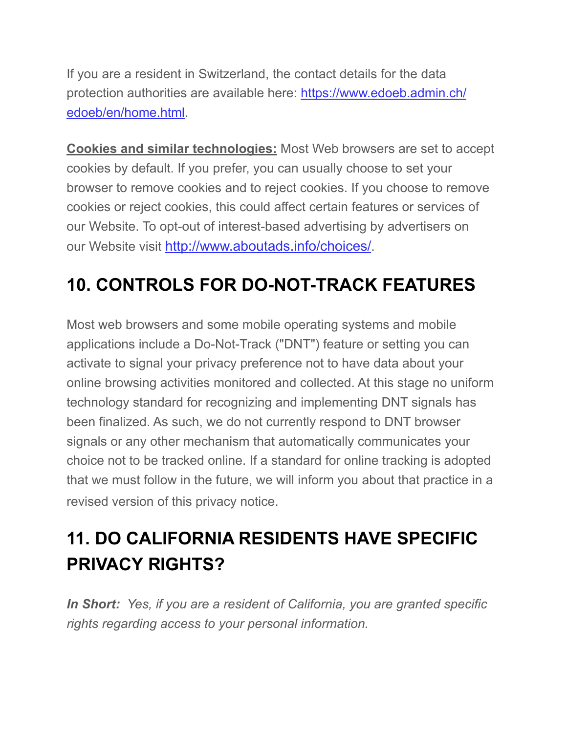If you are a resident in Switzerland, the contact details for the data protection authorities are available here: [https://www.edoeb.admin.ch/](https://www.edoeb.admin.ch/edoeb/en/home.html) [edoeb/en/home.html.](https://www.edoeb.admin.ch/edoeb/en/home.html)

**Cookies and similar technologies:** Most Web browsers are set to accept cookies by default. If you prefer, you can usually choose to set your browser to remove cookies and to reject cookies. If you choose to remove cookies or reject cookies, this could affect certain features or services of our Website. To opt-out of interest-based advertising by advertisers on our Website visit [http://www.aboutads.info/choices/.](http://www.aboutads.info/choices/)

# **10. CONTROLS FOR DO-NOT-TRACK FEATURES**

Most web browsers and some mobile operating systems and mobile applications include a Do-Not-Track ("DNT") feature or setting you can activate to signal your privacy preference not to have data about your online browsing activities monitored and collected. At this stage no uniform technology standard for recognizing and implementing DNT signals has been finalized. As such, we do not currently respond to DNT browser signals or any other mechanism that automatically communicates your choice not to be tracked online. If a standard for online tracking is adopted that we must follow in the future, we will inform you about that practice in a revised version of this privacy notice.

# **11. DO CALIFORNIA RESIDENTS HAVE SPECIFIC PRIVACY RIGHTS?**

*In Short: Yes, if you are a resident of California, you are granted specific rights regarding access to your personal information.*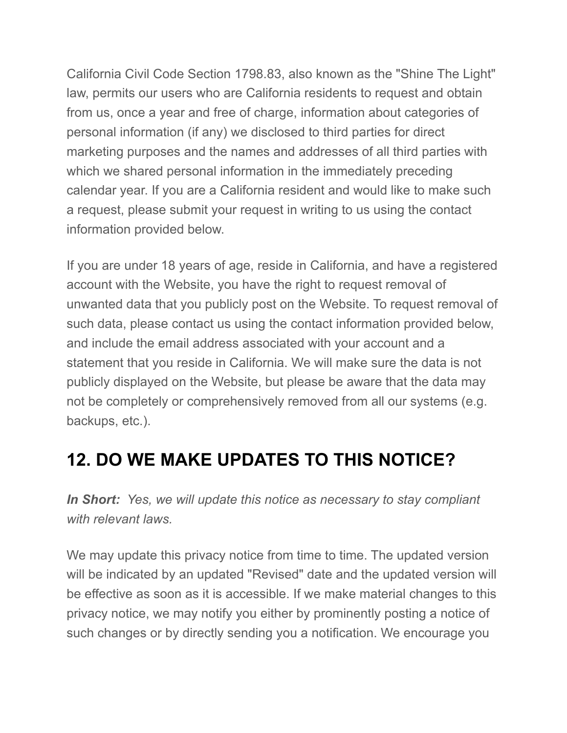California Civil Code Section 1798.83, also known as the "Shine The Light" law, permits our users who are California residents to request and obtain from us, once a year and free of charge, information about categories of personal information (if any) we disclosed to third parties for direct marketing purposes and the names and addresses of all third parties with which we shared personal information in the immediately preceding calendar year. If you are a California resident and would like to make such a request, please submit your request in writing to us using the contact information provided below.

If you are under 18 years of age, reside in California, and have a registered account with the Website, you have the right to request removal of unwanted data that you publicly post on the Website. To request removal of such data, please contact us using the contact information provided below, and include the email address associated with your account and a statement that you reside in California. We will make sure the data is not publicly displayed on the Website, but please be aware that the data may not be completely or comprehensively removed from all our systems (e.g. backups, etc.).

#### **12. DO WE MAKE UPDATES TO THIS NOTICE?**

*In Short: Yes, we will update this notice as necessary to stay compliant with relevant laws.*

We may update this privacy notice from time to time. The updated version will be indicated by an updated "Revised" date and the updated version will be effective as soon as it is accessible. If we make material changes to this privacy notice, we may notify you either by prominently posting a notice of such changes or by directly sending you a notification. We encourage you